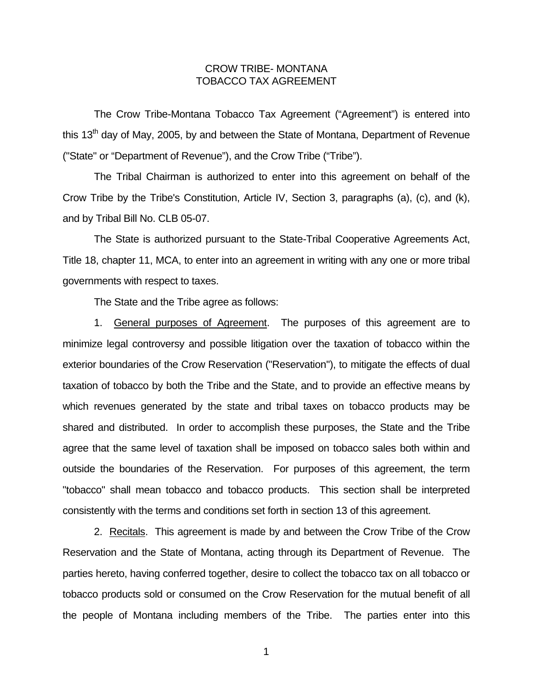## CROW TRIBE- MONTANA TOBACCO TAX AGREEMENT

 The Crow Tribe-Montana Tobacco Tax Agreement ("Agreement") is entered into this  $13<sup>th</sup>$  dav of Mav, 2005, by and between the State of Montana, Department of Revenue ("State" or "Department of Revenue"), and the Crow Tribe ("Tribe").

 The Tribal Chairman is authorized to enter into this agreement on behalf of the Crow Tribe by the Tribe's Constitution, Article IV, Section 3, paragraphs (a), (c), and (k), and by Tribal Bill No. CLB 05-07.

 The State is authorized pursuant to the State-Tribal Cooperative Agreements Act, Title 18, chapter 11, MCA, to enter into an agreement in writing with any one or more tribal governments with respect to taxes.

The State and the Tribe agree as follows:

 1. General purposes of Agreement. The purposes of this agreement are to minimize legal controversy and possible litigation over the taxation of tobacco within the exterior boundaries of the Crow Reservation ("Reservation"), to mitigate the effects of dual taxation of tobacco by both the Tribe and the State, and to provide an effective means by which revenues generated by the state and tribal taxes on tobacco products may be shared and distributed. In order to accomplish these purposes, the State and the Tribe agree that the same level of taxation shall be imposed on tobacco sales both within and outside the boundaries of the Reservation. For purposes of this agreement, the term "tobacco" shall mean tobacco and tobacco products. This section shall be interpreted consistently with the terms and conditions set forth in section 13 of this agreement.

 2. Recitals. This agreement is made by and between the Crow Tribe of the Crow Reservation and the State of Montana, acting through its Department of Revenue. The parties hereto, having conferred together, desire to collect the tobacco tax on all tobacco or tobacco products sold or consumed on the Crow Reservation for the mutual benefit of all the people of Montana including members of the Tribe. The parties enter into this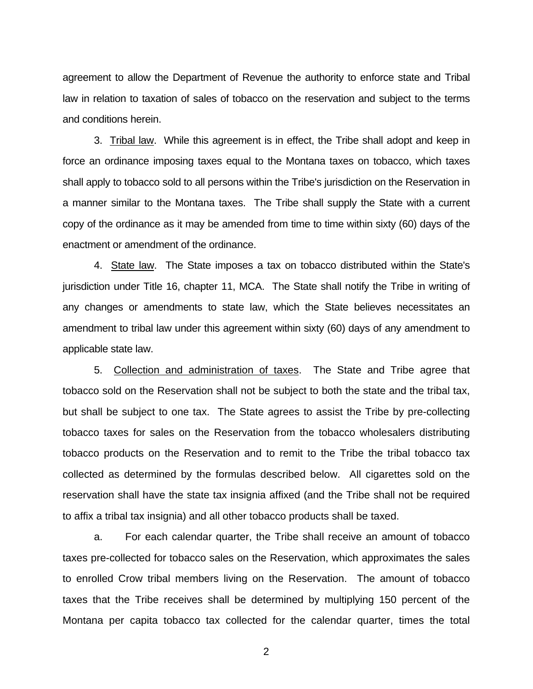agreement to allow the Department of Revenue the authority to enforce state and Tribal law in relation to taxation of sales of tobacco on the reservation and subject to the terms and conditions herein.

 3. Tribal law. While this agreement is in effect, the Tribe shall adopt and keep in force an ordinance imposing taxes equal to the Montana taxes on tobacco, which taxes shall apply to tobacco sold to all persons within the Tribe's jurisdiction on the Reservation in a manner similar to the Montana taxes. The Tribe shall supply the State with a current copy of the ordinance as it may be amended from time to time within sixty (60) days of the enactment or amendment of the ordinance.

 4. State law. The State imposes a tax on tobacco distributed within the State's jurisdiction under Title 16, chapter 11, MCA. The State shall notify the Tribe in writing of any changes or amendments to state law, which the State believes necessitates an amendment to tribal law under this agreement within sixty (60) days of any amendment to applicable state law.

 5. Collection and administration of taxes. The State and Tribe agree that tobacco sold on the Reservation shall not be subject to both the state and the tribal tax, but shall be subject to one tax. The State agrees to assist the Tribe by pre-collecting tobacco taxes for sales on the Reservation from the tobacco wholesalers distributing tobacco products on the Reservation and to remit to the Tribe the tribal tobacco tax collected as determined by the formulas described below. All cigarettes sold on the reservation shall have the state tax insignia affixed (and the Tribe shall not be required to affix a tribal tax insignia) and all other tobacco products shall be taxed.

 a. For each calendar quarter, the Tribe shall receive an amount of tobacco taxes pre-collected for tobacco sales on the Reservation, which approximates the sales to enrolled Crow tribal members living on the Reservation. The amount of tobacco taxes that the Tribe receives shall be determined by multiplying 150 percent of the Montana per capita tobacco tax collected for the calendar quarter, times the total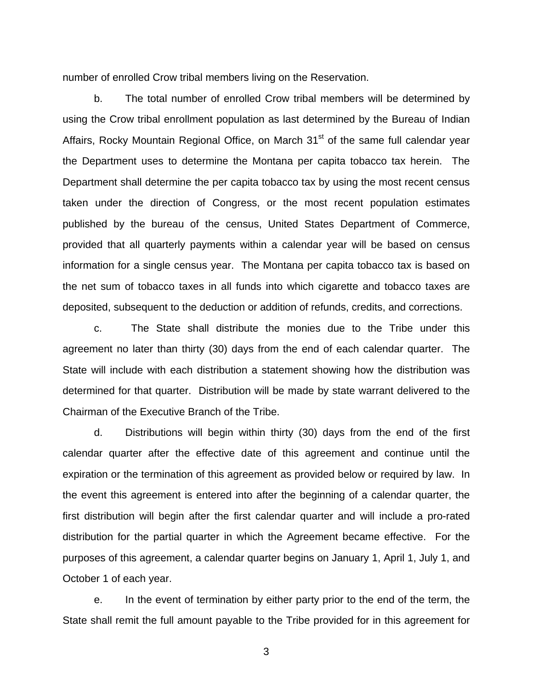number of enrolled Crow tribal members living on the Reservation.

b. The total number of enrolled Crow tribal members will be determined by using the Crow tribal enrollment population as last determined by the Bureau of Indian Affairs, Rocky Mountain Regional Office, on March  $31<sup>st</sup>$  of the same full calendar year the Department uses to determine the Montana per capita tobacco tax herein. The Department shall determine the per capita tobacco tax by using the most recent census taken under the direction of Congress, or the most recent population estimates published by the bureau of the census, United States Department of Commerce, provided that all quarterly payments within a calendar year will be based on census information for a single census year. The Montana per capita tobacco tax is based on the net sum of tobacco taxes in all funds into which cigarette and tobacco taxes are deposited, subsequent to the deduction or addition of refunds, credits, and corrections.

 c. The State shall distribute the monies due to the Tribe under this agreement no later than thirty (30) days from the end of each calendar quarter. The State will include with each distribution a statement showing how the distribution was determined for that quarter. Distribution will be made by state warrant delivered to the Chairman of the Executive Branch of the Tribe.

 d. Distributions will begin within thirty (30) days from the end of the first calendar quarter after the effective date of this agreement and continue until the expiration or the termination of this agreement as provided below or required by law. In the event this agreement is entered into after the beginning of a calendar quarter, the first distribution will begin after the first calendar quarter and will include a pro-rated distribution for the partial quarter in which the Agreement became effective. For the purposes of this agreement, a calendar quarter begins on January 1, April 1, July 1, and October 1 of each year.

 e. In the event of termination by either party prior to the end of the term, the State shall remit the full amount payable to the Tribe provided for in this agreement for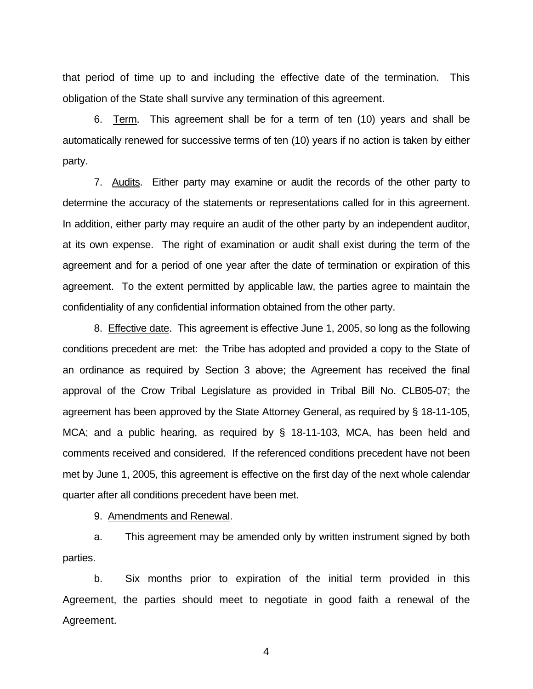that period of time up to and including the effective date of the termination. This obligation of the State shall survive any termination of this agreement.

 6. Term. This agreement shall be for a term of ten (10) years and shall be automatically renewed for successive terms of ten (10) years if no action is taken by either party.

 7. Audits. Either party may examine or audit the records of the other party to determine the accuracy of the statements or representations called for in this agreement. In addition, either party may require an audit of the other party by an independent auditor, at its own expense. The right of examination or audit shall exist during the term of the agreement and for a period of one year after the date of termination or expiration of this agreement. To the extent permitted by applicable law, the parties agree to maintain the confidentiality of any confidential information obtained from the other party.

 8. Effective date. This agreement is effective June 1, 2005, so long as the following conditions precedent are met: the Tribe has adopted and provided a copy to the State of an ordinance as required by Section 3 above; the Agreement has received the final approval of the Crow Tribal Legislature as provided in Tribal Bill No. CLB05-07; the agreement has been approved by the State Attorney General, as required by § 18-11-105, MCA; and a public hearing, as required by § 18-11-103, MCA, has been held and comments received and considered. If the referenced conditions precedent have not been met by June 1, 2005, this agreement is effective on the first day of the next whole calendar quarter after all conditions precedent have been met.

9. Amendments and Renewal.

 a. This agreement may be amended only by written instrument signed by both parties.

 b. Six months prior to expiration of the initial term provided in this Agreement, the parties should meet to negotiate in good faith a renewal of the Agreement.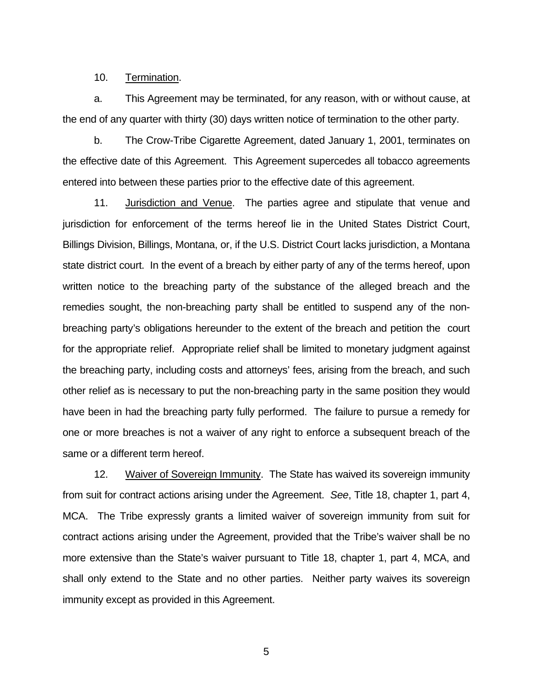10. Termination.

 a. This Agreement may be terminated, for any reason, with or without cause, at the end of any quarter with thirty (30) days written notice of termination to the other party.

 b. The Crow-Tribe Cigarette Agreement, dated January 1, 2001, terminates on the effective date of this Agreement. This Agreement supercedes all tobacco agreements entered into between these parties prior to the effective date of this agreement.

 11. Jurisdiction and Venue. The parties agree and stipulate that venue and jurisdiction for enforcement of the terms hereof lie in the United States District Court, Billings Division, Billings, Montana, or, if the U.S. District Court lacks jurisdiction, a Montana state district court. In the event of a breach by either party of any of the terms hereof, upon written notice to the breaching party of the substance of the alleged breach and the remedies sought, the non-breaching party shall be entitled to suspend any of the nonbreaching party's obligations hereunder to the extent of the breach and petition the court for the appropriate relief. Appropriate relief shall be limited to monetary judgment against the breaching party, including costs and attorneys' fees, arising from the breach, and such other relief as is necessary to put the non-breaching party in the same position they would have been in had the breaching party fully performed. The failure to pursue a remedy for one or more breaches is not a waiver of any right to enforce a subsequent breach of the same or a different term hereof.

 12. Waiver of Sovereign Immunity. The State has waived its sovereign immunity from suit for contract actions arising under the Agreement. *See*, Title 18, chapter 1, part 4, MCA. The Tribe expressly grants a limited waiver of sovereign immunity from suit for contract actions arising under the Agreement, provided that the Tribe's waiver shall be no more extensive than the State's waiver pursuant to Title 18, chapter 1, part 4, MCA, and shall only extend to the State and no other parties. Neither party waives its sovereign immunity except as provided in this Agreement.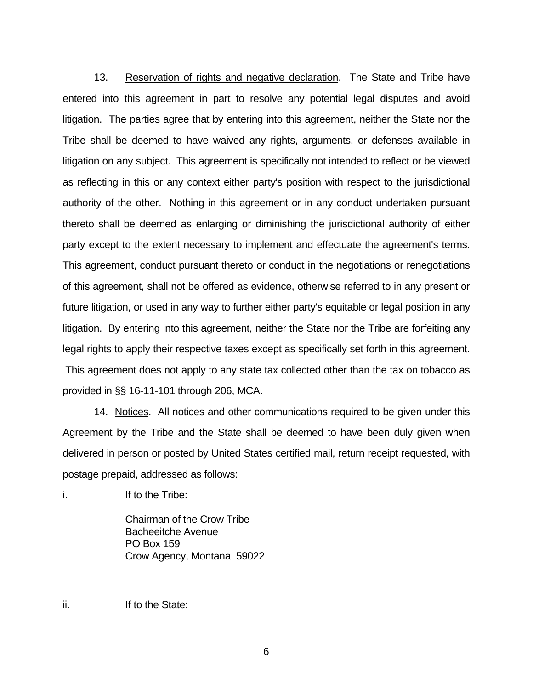13. Reservation of rights and negative declaration. The State and Tribe have entered into this agreement in part to resolve any potential legal disputes and avoid litigation. The parties agree that by entering into this agreement, neither the State nor the Tribe shall be deemed to have waived any rights, arguments, or defenses available in litigation on any subject. This agreement is specifically not intended to reflect or be viewed as reflecting in this or any context either party's position with respect to the jurisdictional authority of the other. Nothing in this agreement or in any conduct undertaken pursuant thereto shall be deemed as enlarging or diminishing the jurisdictional authority of either party except to the extent necessary to implement and effectuate the agreement's terms. This agreement, conduct pursuant thereto or conduct in the negotiations or renegotiations of this agreement, shall not be offered as evidence, otherwise referred to in any present or future litigation, or used in any way to further either party's equitable or legal position in any litigation. By entering into this agreement, neither the State nor the Tribe are forfeiting any legal rights to apply their respective taxes except as specifically set forth in this agreement. This agreement does not apply to any state tax collected other than the tax on tobacco as provided in §§ 16-11-101 through 206, MCA.

 14. Notices. All notices and other communications required to be given under this Agreement by the Tribe and the State shall be deemed to have been duly given when delivered in person or posted by United States certified mail, return receipt requested, with postage prepaid, addressed as follows:

i. The **If to the Tribe:** 

 Chairman of the Crow Tribe Bacheeitche Avenue PO Box 159 Crow Agency, Montana 59022

ii. **If to the State:**